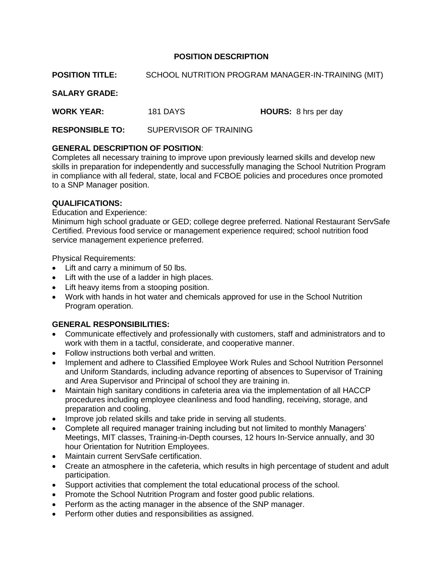## **POSITION DESCRIPTION**

**POSITION TITLE:** SCHOOL NUTRITION PROGRAM MANAGER-IN-TRAINING (MIT)

**SALARY GRADE:**

**WORK YEAR:** 181 DAYS **HOURS:** 8 hrs per day

**RESPONSIBLE TO:** SUPERVISOR OF TRAINING

## **GENERAL DESCRIPTION OF POSITION**:

Completes all necessary training to improve upon previously learned skills and develop new skills in preparation for independently and successfully managing the School Nutrition Program in compliance with all federal, state, local and FCBOE policies and procedures once promoted to a SNP Manager position.

### **QUALIFICATIONS:**

#### Education and Experience:

Minimum high school graduate or GED; college degree preferred. National Restaurant ServSafe Certified. Previous food service or management experience required; school nutrition food service management experience preferred.

Physical Requirements:

- Lift and carry a minimum of 50 lbs.
- Lift with the use of a ladder in high places.
- Lift heavy items from a stooping position.
- Work with hands in hot water and chemicals approved for use in the School Nutrition Program operation.

## **GENERAL RESPONSIBILITIES:**

- Communicate effectively and professionally with customers, staff and administrators and to work with them in a tactful, considerate, and cooperative manner.
- Follow instructions both verbal and written.
- Implement and adhere to Classified Employee Work Rules and School Nutrition Personnel and Uniform Standards, including advance reporting of absences to Supervisor of Training and Area Supervisor and Principal of school they are training in.
- Maintain high sanitary conditions in cafeteria area via the implementation of all HACCP procedures including employee cleanliness and food handling, receiving, storage, and preparation and cooling.
- Improve job related skills and take pride in serving all students.
- Complete all required manager training including but not limited to monthly Managers' Meetings, MIT classes, Training-in-Depth courses, 12 hours In-Service annually, and 30 hour Orientation for Nutrition Employees.
- Maintain current ServSafe certification.
- Create an atmosphere in the cafeteria, which results in high percentage of student and adult participation.
- Support activities that complement the total educational process of the school.
- Promote the School Nutrition Program and foster good public relations.
- Perform as the acting manager in the absence of the SNP manager.
- Perform other duties and responsibilities as assigned.